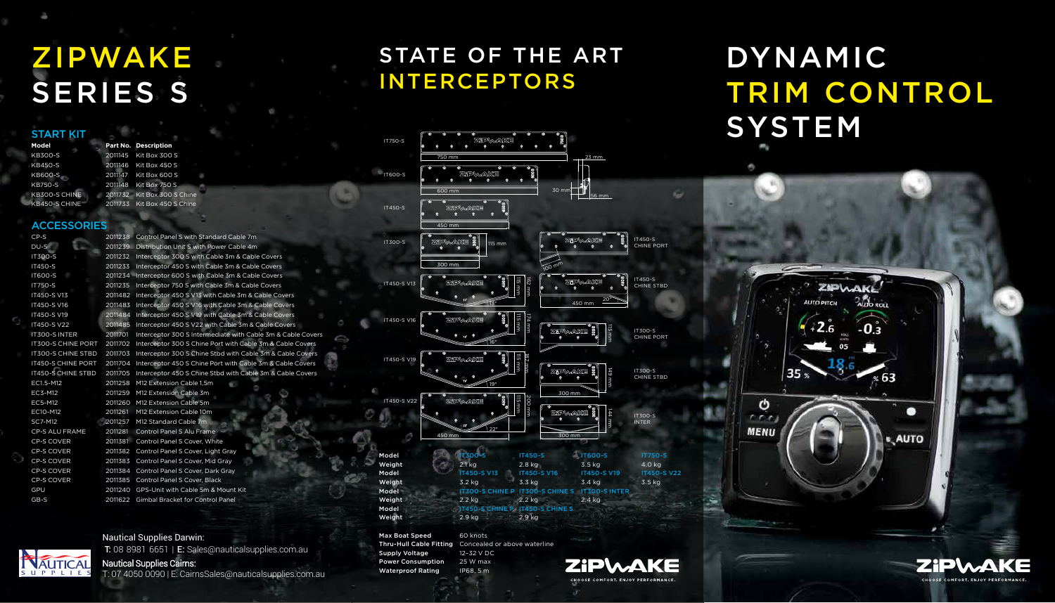# DYNAMIC TRIM CONTROL



| Model                    | <b>IT300-S CHINE P IT300-S (</b>                    |          |
|--------------------------|-----------------------------------------------------|----------|
| Weight                   | $2.2$ kg                                            | $2.2$ kg |
| Model                    | <b>IT450-S CHINE P IT450-S 0</b>                    |          |
| Weight                   | 2.9 kg                                              | 2.9 kg   |
| <b>Max Boat Speed</b>    | 60 knots                                            |          |
|                          | Thru-Hull Cable Fitting Concealed or above waterlin |          |
| <b>Supply Voltage</b>    | 12-32 V DC                                          |          |
| <b>Power Consumption</b> | 25 W max                                            |          |



## STATE OF THE ART INTERCEPTORS

**SYSTEM** 

ტ

 $r \cdot r$ **MENU** 

# ZIPWAKE SERIES S

START KIT

**ACCESSORIES** 



Waterproof Rating IP68, 5 m



IT450-S CHINE PORT

IT450-S CHINE STBD

IT300-S CHINE PORT

IT300-S CHINE STBD

IT300-S INTER

#### Nautical Supplies Darwin: T: 08 8981 6651 | E: Sales@nauticalsupplies.com.au

Nautical Supplies Cairns:

T: 07 4050 0090 | E: CairnsSales@nauticalsupplies.com.au